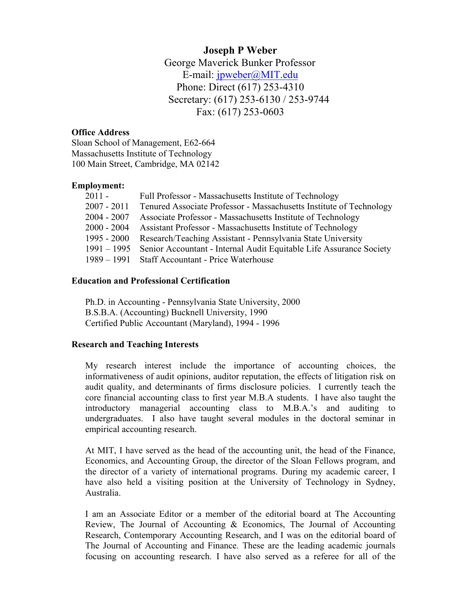# **Joseph P Weber** George Maverick Bunker Professor E-mail: [jpweber@MIT.edu](mailto:jpweber@MIT.edu) Phone: Direct (617) 253-4310 Secretary: (617) 253-6130 / 253-9744 Fax: (617) 253-0603

## **Office Address**

Sloan School of Management, E62-664 Massachusetts Institute of Technology 100 Main Street, Cambridge, MA 02142

# **Employment:**

| 2011 -        | Full Professor - Massachusetts Institute of Technology                          |
|---------------|---------------------------------------------------------------------------------|
| $2007 - 2011$ | Tenured Associate Professor - Massachusetts Institute of Technology             |
| 2004 - 2007   | Associate Professor - Massachusetts Institute of Technology                     |
| 2000 - 2004   | Assistant Professor - Massachusetts Institute of Technology                     |
| 1995 - 2000   | Research/Teaching Assistant - Pennsylvania State University                     |
|               | 1991 – 1995 Senior Accountant - Internal Audit Equitable Life Assurance Society |
|               | 1989 – 1991 Staff Accountant - Price Waterhouse                                 |

# **Education and Professional Certification**

Ph.D. in Accounting - Pennsylvania State University, 2000 B.S.B.A. (Accounting) Bucknell University, 1990 Certified Public Accountant (Maryland), 1994 - 1996

# **Research and Teaching Interests**

My research interest include the importance of accounting choices, the informativeness of audit opinions, auditor reputation, the effects of litigation risk on audit quality, and determinants of firms disclosure policies. I currently teach the core financial accounting class to first year M.B.A students. I have also taught the introductory managerial accounting class to M.B.A.'s and auditing to undergraduates. I also have taught several modules in the doctoral seminar in empirical accounting research.

At MIT, I have served as the head of the accounting unit, the head of the Finance, Economics, and Accounting Group, the director of the Sloan Fellows program, and the director of a variety of international programs. During my academic career, I have also held a visiting position at the University of Technology in Sydney, Australia.

I am an Associate Editor or a member of the editorial board at The Accounting Review, The Journal of Accounting & Economics, The Journal of Accounting Research, Contemporary Accounting Research, and I was on the editorial board of The Journal of Accounting and Finance. These are the leading academic journals focusing on accounting research. I have also served as a referee for all of the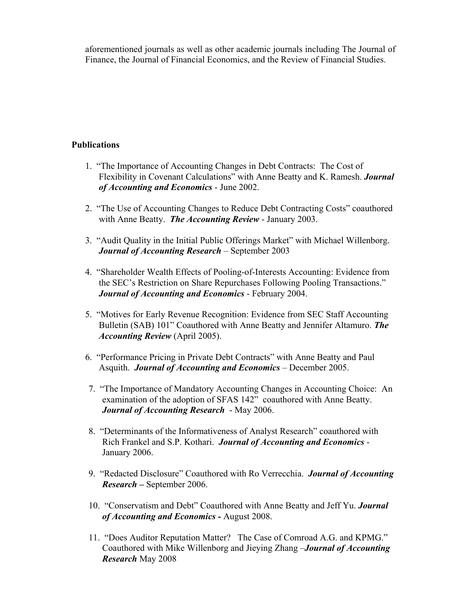aforementioned journals as well as other academic journals including The Journal of Finance, the Journal of Financial Economics, and the Review of Financial Studies.

## **Publications**

- 1. "The Importance of Accounting Changes in Debt Contracts: The Cost of Flexibility in Covenant Calculations" with Anne Beatty and K. Ramesh. *Journal of Accounting and Economics* - June 2002.
- 2. "The Use of Accounting Changes to Reduce Debt Contracting Costs" coauthored with Anne Beatty. *The Accounting Review* - January 2003.
- 3. "Audit Quality in the Initial Public Offerings Market" with Michael Willenborg. *Journal of Accounting Research* – September 2003
- 4. "Shareholder Wealth Effects of Pooling-of-Interests Accounting: Evidence from the SEC's Restriction on Share Repurchases Following Pooling Transactions." *Journal of Accounting and Economics* - February 2004.
- 5. "Motives for Early Revenue Recognition: Evidence from SEC Staff Accounting Bulletin (SAB) 101" Coauthored with Anne Beatty and Jennifer Altamuro. *The Accounting Review* (April 2005).
- 6. "Performance Pricing in Private Debt Contracts" with Anne Beatty and Paul Asquith. *Journal of Accounting and Economics* – December 2005.
- 7. "The Importance of Mandatory Accounting Changes in Accounting Choice: An examination of the adoption of SFAS 142" coauthored with Anne Beatty. *Journal of Accounting Research* - May 2006.
- 8. "Determinants of the Informativeness of Analyst Research" coauthored with Rich Frankel and S.P. Kothari. *Journal of Accounting and Economics* - January 2006.
- 9. "Redacted Disclosure" Coauthored with Ro Verrecchia. *Journal of Accounting Research* **–** September 2006.
- 10. "Conservatism and Debt" Coauthored with Anne Beatty and Jeff Yu. *Journal of Accounting and Economics -* August 2008.
- 11. "Does Auditor Reputation Matter? The Case of Comroad A.G. and KPMG." Coauthored with Mike Willenborg and Jieying Zhang –*Journal of Accounting Research* May 2008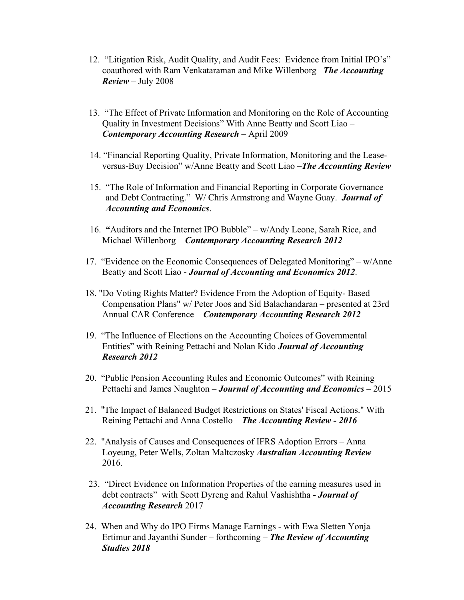- 12. "Litigation Risk, Audit Quality, and Audit Fees: Evidence from Initial IPO's" coauthored with Ram Venkataraman and Mike Willenborg –*The Accounting Review* – July 2008
- 13. "The Effect of Private Information and Monitoring on the Role of Accounting Quality in Investment Decisions" With Anne Beatty and Scott Liao – *Contemporary Accounting Research* – April 2009
- 14. "Financial Reporting Quality, Private Information, Monitoring and the Leaseversus-Buy Decision" w/Anne Beatty and Scott Liao –*The Accounting Review*
- 15. "The Role of Information and Financial Reporting in Corporate Governance and Debt Contracting." W/ Chris Armstrong and Wayne Guay. *Journal of Accounting and Economics*.
- 16. **"**Auditors and the Internet IPO Bubble" w/Andy Leone, Sarah Rice, and Michael Willenborg – *Contemporary Accounting Research 2012*
- 17. "Evidence on the Economic Consequences of Delegated Monitoring" w/Anne Beatty and Scott Liao - *Journal of Accounting and Economics 2012*.
- 18. "Do Voting Rights Matter? Evidence From the Adoption of Equity- Based Compensation Plans" w/ Peter Joos and Sid Balachandaran – presented at 23rd Annual CAR Conference – *Contemporary Accounting Research 2012*
- 19. "The Influence of Elections on the Accounting Choices of Governmental Entities" with Reining Pettachi and Nolan Kido *Journal of Accounting Research 2012*
- 20. "Public Pension Accounting Rules and Economic Outcomes" with Reining Pettachi and James Naughton – *Journal of Accounting and Economics* – 2015
- 21. "The Impact of Balanced Budget Restrictions on States' Fiscal Actions." With Reining Pettachi and Anna Costello – *The Accounting Review - 2016*
- 22. "Analysis of Causes and Consequences of IFRS Adoption Errors Anna Loyeung, Peter Wells, Zoltan Maltczosky *Australian Accounting Review* – 2016.
- 23. "Direct Evidence on Information Properties of the earning measures used in debt contracts" with Scott Dyreng and Rahul Vashishtha *- Journal of Accounting Research* 2017
- 24. When and Why do IPO Firms Manage Earnings with Ewa Sletten Yonja Ertimur and Jayanthi Sunder – forthcoming – *The Review of Accounting Studies 2018*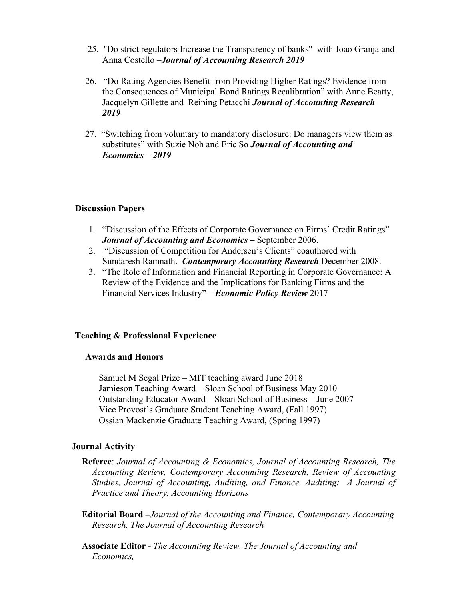- 25. "Do strict regulators Increase the Transparency of banks" with Joao Granja and Anna Costello –*Journal of Accounting Research 2019*
- 26. "Do Rating Agencies Benefit from Providing Higher Ratings? Evidence from the Consequences of Municipal Bond Ratings Recalibration" with Anne Beatty, Jacquelyn Gillette and Reining Petacchi *Journal of Accounting Research 2019*
- 27. "Switching from voluntary to mandatory disclosure: Do managers view them as substitutes" with Suzie Noh and Eric So *Journal of Accounting and Economics* – *2019*

#### **Discussion Papers**

- 1. "Discussion of the Effects of Corporate Governance on Firms' Credit Ratings" *Journal of Accounting and Economics –* September 2006.
- 2. "Discussion of Competition for Andersen's Clients" coauthored with Sundaresh Ramnath. *Contemporary Accounting Research* December 2008.
- 3. "The Role of Information and Financial Reporting in Corporate Governance: A Review of the Evidence and the Implications for Banking Firms and the Financial Services Industry" – *Economic Policy Review* 2017

#### **Teaching & Professional Experience**

#### **Awards and Honors**

Samuel M Segal Prize – MIT teaching award June 2018 Jamieson Teaching Award – Sloan School of Business May 2010 Outstanding Educator Award – Sloan School of Business – June 2007 Vice Provost's Graduate Student Teaching Award, (Fall 1997) Ossian Mackenzie Graduate Teaching Award, (Spring 1997)

#### **Journal Activity**

- **Referee**: *Journal of Accounting & Economics, Journal of Accounting Research, The Accounting Review, Contemporary Accounting Research, Review of Accounting Studies, Journal of Accounting, Auditing, and Finance, Auditing: A Journal of Practice and Theory, Accounting Horizons*
- **Editorial Board –***Journal of the Accounting and Finance, Contemporary Accounting Research, The Journal of Accounting Research*
- **Associate Editor** *- The Accounting Review, The Journal of Accounting and Economics,*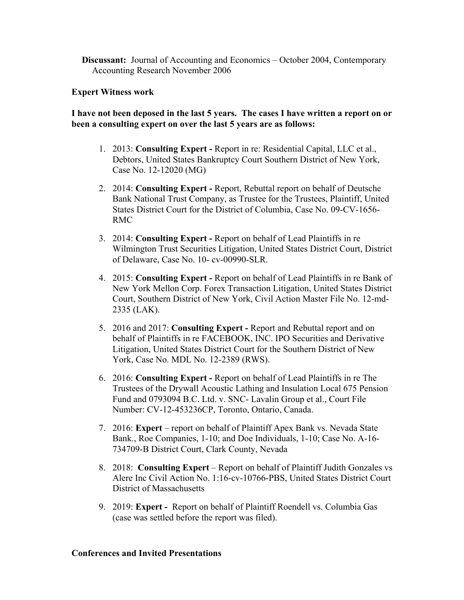**Discussant:** Journal of Accounting and Economics – October 2004, Contemporary Accounting Research November 2006

#### **Expert Witness work**

## **I have not been deposed in the last 5 years. The cases I have written a report on or been a consulting expert on over the last 5 years are as follows:**

- 1. 2013: **Consulting Expert -** Report in re: Residential Capital, LLC et al., Debtors, United States Bankruptcy Court Southern District of New York, Case No. 12-12020 (MG)
- 2. 2014: **Consulting Expert -** Report, Rebuttal report on behalf of Deutsche Bank National Trust Company, as Trustee for the Trustees, Plaintiff, United States District Court for the District of Columbia, Case No. 09-CV-1656- RMC
- 3. 2014: **Consulting Expert -** Report on behalf of Lead Plaintiffs in re Wilmington Trust Securities Litigation, United States District Court, District of Delaware, Case No. 10- cv-00990-SLR.
- 4. 2015: **Consulting Expert -** Report on behalf of Lead Plaintiffs in re Bank of New York Mellon Corp. Forex Transaction Litigation, United States District Court, Southern District of New York, Civil Action Master File No. 12-md-2335 (LAK).
- 5. 2016 and 2017: **Consulting Expert -** Report and Rebuttal report and on behalf of Plaintiffs in re FACEBOOK, INC. IPO Securities and Derivative Litigation, United States District Court for the Southern District of New York, Case No. MDL No. 12-2389 (RWS).
- 6. 2016: **Consulting Expert -** Report on behalf of Lead Plaintiffs in re The Trustees of the Drywall Acoustic Lathing and Insulation Local 675 Pension Fund and 0793094 B.C. Ltd. v. SNC- Lavalin Group et al., Court File Number: CV-12-453236CP, Toronto, Ontario, Canada.
- 7. 2016: **Expert**  report on behalf of Plaintiff Apex Bank vs. Nevada State Bank., Roe Companies, 1-10; and Doe Individuals, 1-10; Case No. A-16- 734709-B District Court, Clark County, Nevada
- 8. 2018: **Consulting Expert** Report on behalf of Plaintiff Judith Gonzales vs Alere Inc Civil Action No. 1:16-cv-10766-PBS, United States District Court District of Massachusetts
- 9. 2019: **Expert -** Report on behalf of Plaintiff Roendell vs. Columbia Gas (case was settled before the report was filed).

#### **Conferences and Invited Presentations**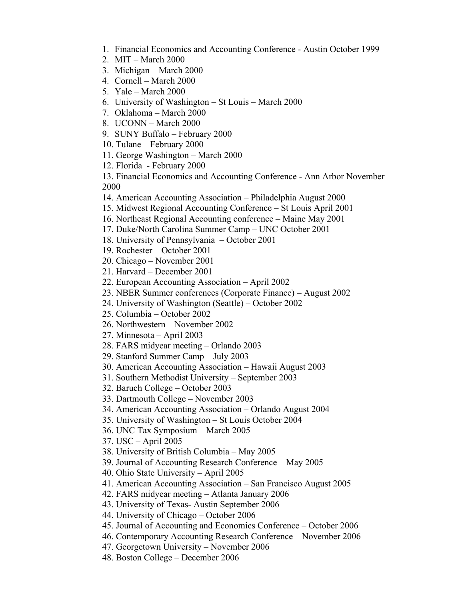- 1. Financial Economics and Accounting Conference Austin October 1999
- 2. MIT March 2000
- 3. Michigan March 2000
- 4. Cornell March 2000
- 5. Yale March 2000
- 6. University of Washington St Louis March 2000
- 7. Oklahoma March 2000
- 8. UCONN March 2000
- 9. SUNY Buffalo February 2000
- 10. Tulane February 2000
- 11. George Washington March 2000
- 12. Florida February 2000

13. Financial Economics and Accounting Conference - Ann Arbor November 2000

- 14. American Accounting Association Philadelphia August 2000
- 15. Midwest Regional Accounting Conference St Louis April 2001
- 16. Northeast Regional Accounting conference Maine May 2001
- 17. Duke/North Carolina Summer Camp UNC October 2001
- 18. University of Pennsylvania October 2001
- 19. Rochester October 2001
- 20. Chicago November 2001
- 21. Harvard December 2001
- 22. European Accounting Association April 2002
- 23. NBER Summer conferences (Corporate Finance) August 2002
- 24. University of Washington (Seattle) October 2002
- 25. Columbia October 2002
- 26. Northwestern November 2002
- 27. Minnesota April 2003
- 28. FARS midyear meeting Orlando 2003
- 29. Stanford Summer Camp July 2003
- 30. American Accounting Association Hawaii August 2003
- 31. Southern Methodist University September 2003
- 32. Baruch College October 2003
- 33. Dartmouth College November 2003
- 34. American Accounting Association Orlando August 2004
- 35. University of Washington St Louis October 2004
- 36. UNC Tax Symposium March 2005
- 37. USC April 2005
- 38. University of British Columbia May 2005
- 39. Journal of Accounting Research Conference May 2005
- 40. Ohio State University April 2005
- 41. American Accounting Association San Francisco August 2005
- 42. FARS midyear meeting Atlanta January 2006
- 43. University of Texas- Austin September 2006
- 44. University of Chicago October 2006
- 45. Journal of Accounting and Economics Conference October 2006
- 46. Contemporary Accounting Research Conference November 2006
- 47. Georgetown University November 2006
- 48. Boston College December 2006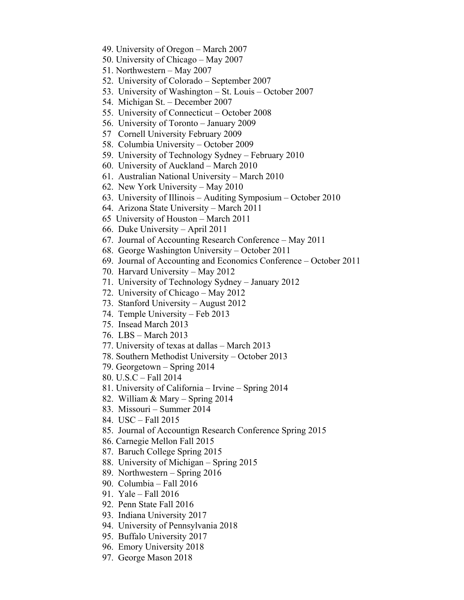- 49. University of Oregon March 2007
- 50. University of Chicago May 2007
- 51. Northwestern May 2007
- 52. University of Colorado September 2007
- 53. University of Washington St. Louis October 2007
- 54. Michigan St. December 2007
- 55. University of Connecticut October 2008
- 56. University of Toronto January 2009
- 57 Cornell University February 2009
- 58. Columbia University October 2009
- 59. University of Technology Sydney February 2010
- 60. University of Auckland March 2010
- 61. Australian National University March 2010
- 62. New York University May 2010
- 63. University of Illinois Auditing Symposium October 2010
- 64. Arizona State University March 2011
- 65 University of Houston March 2011
- 66. Duke University April 2011
- 67. Journal of Accounting Research Conference May 2011
- 68. George Washington University October 2011
- 69. Journal of Accounting and Economics Conference October 2011
- 70. Harvard University May 2012
- 71. University of Technology Sydney January 2012
- 72. University of Chicago May 2012
- 73. Stanford University August 2012
- 74. Temple University Feb 2013
- 75. Insead March 2013
- 76. LBS March 2013
- 77. University of texas at dallas March 2013
- 78. Southern Methodist University October 2013
- 79. Georgetown Spring 2014
- 80. U.S.C Fall 2014
- 81. University of California Irvine Spring 2014
- 82. William & Mary Spring 2014
- 83. Missouri Summer 2014
- 84. USC Fall 2015
- 85. Journal of Accountign Research Conference Spring 2015
- 86. Carnegie Mellon Fall 2015
- 87. Baruch College Spring 2015
- 88. University of Michigan Spring 2015
- 89. Northwestern Spring 2016
- 90. Columbia Fall 2016
- 91. Yale Fall 2016
- 92. Penn State Fall 2016
- 93. Indiana University 2017
- 94. University of Pennsylvania 2018
- 95. Buffalo University 2017
- 96. Emory University 2018
- 97. George Mason 2018